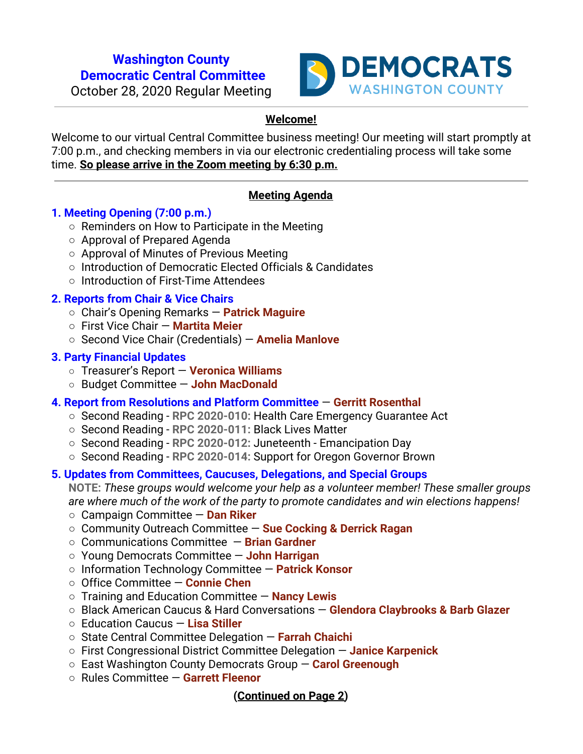## **Washington County Democratic Central Committee**



October 28, 2020 Regular Meeting

# **Welcome!**

Welcome to our virtual Central Committee business meeting! Our meeting will start promptly at 7:00 p.m., and checking members in via our electronic credentialing process will take some time. **So please arrive in the Zoom meeting by 6:30 p.m.**

# **Meeting Agenda**

## **1. Meeting Opening (7:00 p.m.)**

- Reminders on How to Participate in the Meeting
- Approval of Prepared Agenda
- Approval of Minutes of Previous Meeting
- Introduction of Democratic Elected Officials & Candidates
- Introduction of First-Time Attendees

## **2. Reports from Chair & Vice Chairs**

- Chair's Opening Remarks — **Patrick Maguire**
- First Vice Chair — **Martita Meier**
- Second Vice Chair (Credentials) — **Amelia Manlove**

#### **3. Party Financial Updates**

- Treasurer's Report — **Veronica Williams**
- Budget Committee — **John MacDonald**

## **4. Report from Resolutions and Platform Committee** — **Gerritt Rosenthal**

- Second Reading **RPC 2020-010:** Health Care Emergency Guarantee Act
- Second Reading **RPC 2020-011:** Black Lives Matter
- Second Reading **RPC 2020-012:** Juneteenth Emancipation Day
- Second Reading **RPC 2020-014:** Support for Oregon Governor Brown

## **5. Updates from Committees, Caucuses, Delegations, and Special Groups**

**NOTE:** *These groups would welcome your help as a volunteer member! These smaller groups are where much of the work of the party to promote candidates and win elections happens!*

- Campaign Committee **Dan Riker**
- Community Outreach Committee — **Sue Cocking & Derrick Ragan**
- **○** Communications Committee — **Brian Gardner**
- **○** Young Democrats Committee — **John Harrigan**
- **○** Information Technology Committee — **Patrick Konsor**
- **○** Office Committee — **Connie Chen**
- Training and Education Committee — **Nancy Lewis**
- Black American Caucus & Hard Conversations **Glendora Claybrooks & Barb Glazer**
- **○** Education Caucus **Lisa Stiller**
- State Central Committee Delegation — **Farrah Chaichi**
- First Congressional District Committee Delegation — **Janice Karpenick**
- **○** East Washington County Democrats Group — **Carol Greenough**
- **○** Rules Committee — **Garrett Fleenor**

## **(Continued on Page 2)**